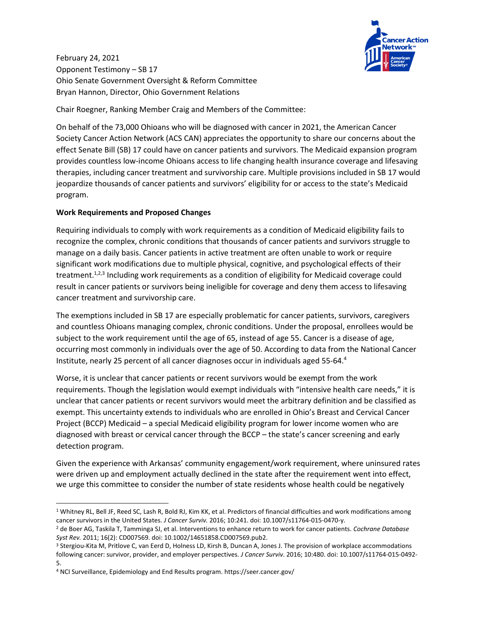

February 24, 2021 Opponent Testimony – SB 17 Ohio Senate Government Oversight & Reform Committee Bryan Hannon, Director, Ohio Government Relations

Chair Roegner, Ranking Member Craig and Members of the Committee:

On behalf of the 73,000 Ohioans who will be diagnosed with cancer in 2021, the American Cancer Society Cancer Action Network (ACS CAN) appreciates the opportunity to share our concerns about the effect Senate Bill (SB) 17 could have on cancer patients and survivors. The Medicaid expansion program provides countless low-income Ohioans access to life changing health insurance coverage and lifesaving therapies, including cancer treatment and survivorship care. Multiple provisions included in SB 17 would jeopardize thousands of cancer patients and survivors' eligibility for or access to the state's Medicaid program.

## **Work Requirements and Proposed Changes**

Requiring individuals to comply with work requirements as a condition of Medicaid eligibility fails to recognize the complex, chronic conditions that thousands of cancer patients and survivors struggle to manage on a daily basis. Cancer patients in active treatment are often unable to work or require significant work modifications due to multiple physical, cognitive, and psychological effects of their treatment.<sup>1,2,3</sup> Including work requirements as a condition of eligibility for Medicaid coverage could result in cancer patients or survivors being ineligible for coverage and deny them access to lifesaving cancer treatment and survivorship care.

The exemptions included in SB 17 are especially problematic for cancer patients, survivors, caregivers and countless Ohioans managing complex, chronic conditions. Under the proposal, enrollees would be subject to the work requirement until the age of 65, instead of age 55. Cancer is a disease of age, occurring most commonly in individuals over the age of 50. According to data from the National Cancer Institute, nearly 25 percent of all cancer diagnoses occur in individuals aged 55-64. 4

Worse, it is unclear that cancer patients or recent survivors would be exempt from the work requirements. Though the legislation would exempt individuals with "intensive health care needs," it is unclear that cancer patients or recent survivors would meet the arbitrary definition and be classified as exempt. This uncertainty extends to individuals who are enrolled in Ohio's Breast and Cervical Cancer Project (BCCP) Medicaid – a special Medicaid eligibility program for lower income women who are diagnosed with breast or cervical cancer through the BCCP – the state's cancer screening and early detection program.

Given the experience with Arkansas' community engagement/work requirement, where uninsured rates were driven up and employment actually declined in the state after the requirement went into effect, we urge this committee to consider the number of state residents whose health could be negatively

<sup>&</sup>lt;sup>1</sup> Whitney RL, Bell JF, Reed SC, Lash R, Bold RJ, Kim KK, et al. Predictors of financial difficulties and work modifications among cancer survivors in the United States. *J Cancer Surviv.* 2016; 10:241. doi: 10.1007/s11764-015-0470-y.

<sup>2</sup> de Boer AG, Taskila T, Tamminga SJ, et al. Interventions to enhance return to work for cancer patients. *Cochrane Database Syst Rev.* 2011; 16(2): CD007569. doi: 10.1002/14651858.CD007569.pub2.

<sup>3</sup> Stergiou-Kita M, Pritlove C, van Eerd D, Holness LD, Kirsh B, Duncan A, Jones J. The provision of workplace accommodations following cancer: survivor, provider, and employer perspectives. *J Cancer Surviv*. 2016; 10:480. doi: 10.1007/s11764-015-0492- 5.

<sup>4</sup> NCI Surveillance, Epidemiology and End Results program. https://seer.cancer.gov/